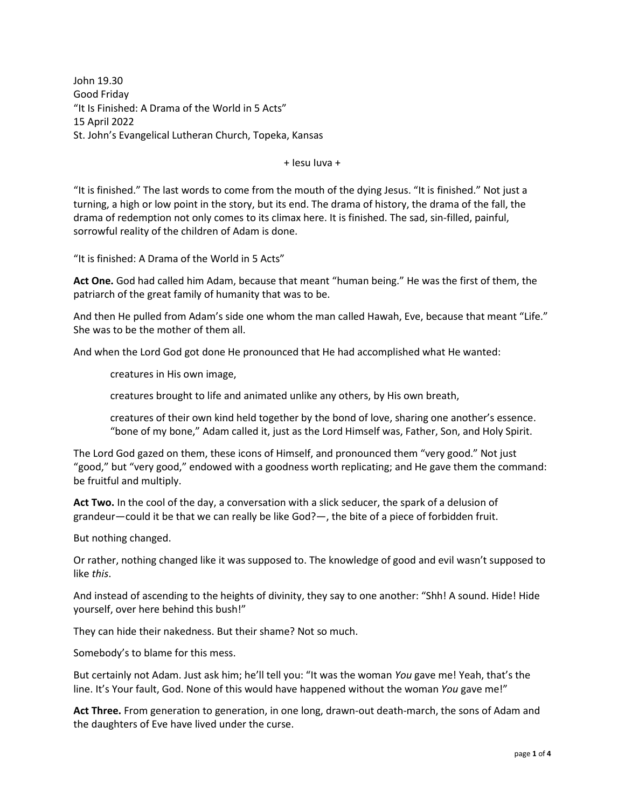John 19.30 Good Friday "It Is Finished: A Drama of the World in 5 Acts" 15 April 2022 St. John's Evangelical Lutheran Church, Topeka, Kansas

+ Iesu Iuva +

"It is finished." The last words to come from the mouth of the dying Jesus. "It is finished." Not just a turning, a high or low point in the story, but its end. The drama of history, the drama of the fall, the drama of redemption not only comes to its climax here. It is finished. The sad, sin-filled, painful, sorrowful reality of the children of Adam is done.

"It is finished: A Drama of the World in 5 Acts"

**Act One.** God had called him Adam, because that meant "human being." He was the first of them, the patriarch of the great family of humanity that was to be.

And then He pulled from Adam's side one whom the man called Hawah, Eve, because that meant "Life." She was to be the mother of them all.

And when the Lord God got done He pronounced that He had accomplished what He wanted:

creatures in His own image,

creatures brought to life and animated unlike any others, by His own breath,

creatures of their own kind held together by the bond of love, sharing one another's essence. "bone of my bone," Adam called it, just as the Lord Himself was, Father, Son, and Holy Spirit.

The Lord God gazed on them, these icons of Himself, and pronounced them "very good." Not just "good," but "very good," endowed with a goodness worth replicating; and He gave them the command: be fruitful and multiply.

**Act Two.** In the cool of the day, a conversation with a slick seducer, the spark of a delusion of grandeur—could it be that we can really be like God?—, the bite of a piece of forbidden fruit.

But nothing changed.

Or rather, nothing changed like it was supposed to. The knowledge of good and evil wasn't supposed to like *this*.

And instead of ascending to the heights of divinity, they say to one another: "Shh! A sound. Hide! Hide yourself, over here behind this bush!"

They can hide their nakedness. But their shame? Not so much.

Somebody's to blame for this mess.

But certainly not Adam. Just ask him; he'll tell you: "It was the woman *You* gave me! Yeah, that's the line. It's Your fault, God. None of this would have happened without the woman *You* gave me!"

**Act Three.** From generation to generation, in one long, drawn-out death-march, the sons of Adam and the daughters of Eve have lived under the curse.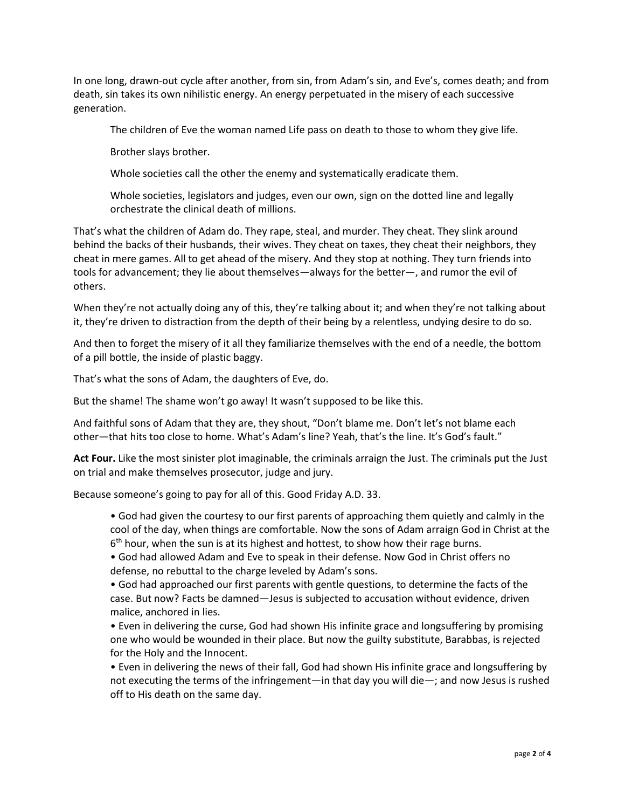In one long, drawn-out cycle after another, from sin, from Adam's sin, and Eve's, comes death; and from death, sin takes its own nihilistic energy. An energy perpetuated in the misery of each successive generation.

The children of Eve the woman named Life pass on death to those to whom they give life.

Brother slays brother.

Whole societies call the other the enemy and systematically eradicate them.

Whole societies, legislators and judges, even our own, sign on the dotted line and legally orchestrate the clinical death of millions.

That's what the children of Adam do. They rape, steal, and murder. They cheat. They slink around behind the backs of their husbands, their wives. They cheat on taxes, they cheat their neighbors, they cheat in mere games. All to get ahead of the misery. And they stop at nothing. They turn friends into tools for advancement; they lie about themselves—always for the better—, and rumor the evil of others.

When they're not actually doing any of this, they're talking about it; and when they're not talking about it, they're driven to distraction from the depth of their being by a relentless, undying desire to do so.

And then to forget the misery of it all they familiarize themselves with the end of a needle, the bottom of a pill bottle, the inside of plastic baggy.

That's what the sons of Adam, the daughters of Eve, do.

But the shame! The shame won't go away! It wasn't supposed to be like this.

And faithful sons of Adam that they are, they shout, "Don't blame me. Don't let's not blame each other—that hits too close to home. What's Adam's line? Yeah, that's the line. It's God's fault."

**Act Four.** Like the most sinister plot imaginable, the criminals arraign the Just. The criminals put the Just on trial and make themselves prosecutor, judge and jury.

Because someone's going to pay for all of this. Good Friday A.D. 33.

• God had given the courtesy to our first parents of approaching them quietly and calmly in the cool of the day, when things are comfortable. Now the sons of Adam arraign God in Christ at the 6<sup>th</sup> hour, when the sun is at its highest and hottest, to show how their rage burns.

• God had allowed Adam and Eve to speak in their defense. Now God in Christ offers no defense, no rebuttal to the charge leveled by Adam's sons.

• God had approached our first parents with gentle questions, to determine the facts of the case. But now? Facts be damned—Jesus is subjected to accusation without evidence, driven malice, anchored in lies.

• Even in delivering the curse, God had shown His infinite grace and longsuffering by promising one who would be wounded in their place. But now the guilty substitute, Barabbas, is rejected for the Holy and the Innocent.

• Even in delivering the news of their fall, God had shown His infinite grace and longsuffering by not executing the terms of the infringement—in that day you will die—; and now Jesus is rushed off to His death on the same day.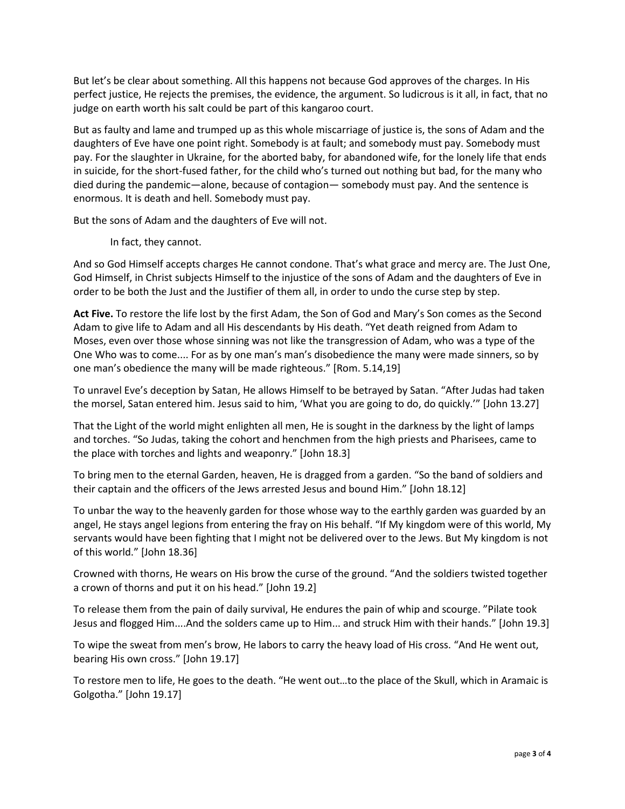But let's be clear about something. All this happens not because God approves of the charges. In His perfect justice, He rejects the premises, the evidence, the argument. So ludicrous is it all, in fact, that no judge on earth worth his salt could be part of this kangaroo court.

But as faulty and lame and trumped up as this whole miscarriage of justice is, the sons of Adam and the daughters of Eve have one point right. Somebody is at fault; and somebody must pay. Somebody must pay. For the slaughter in Ukraine, for the aborted baby, for abandoned wife, for the lonely life that ends in suicide, for the short-fused father, for the child who's turned out nothing but bad, for the many who died during the pandemic—alone, because of contagion— somebody must pay. And the sentence is enormous. It is death and hell. Somebody must pay.

But the sons of Adam and the daughters of Eve will not.

In fact, they cannot.

And so God Himself accepts charges He cannot condone. That's what grace and mercy are. The Just One, God Himself, in Christ subjects Himself to the injustice of the sons of Adam and the daughters of Eve in order to be both the Just and the Justifier of them all, in order to undo the curse step by step.

**Act Five.** To restore the life lost by the first Adam, the Son of God and Mary's Son comes as the Second Adam to give life to Adam and all His descendants by His death. "Yet death reigned from Adam to Moses, even over those whose sinning was not like the transgression of Adam, who was a type of the One Who was to come.... For as by one man's man's disobedience the many were made sinners, so by one man's obedience the many will be made righteous." [Rom. 5.14,19]

To unravel Eve's deception by Satan, He allows Himself to be betrayed by Satan. "After Judas had taken the morsel, Satan entered him. Jesus said to him, 'What you are going to do, do quickly.'" [John 13.27]

That the Light of the world might enlighten all men, He is sought in the darkness by the light of lamps and torches. "So Judas, taking the cohort and henchmen from the high priests and Pharisees, came to the place with torches and lights and weaponry." [John 18.3]

To bring men to the eternal Garden, heaven, He is dragged from a garden. "So the band of soldiers and their captain and the officers of the Jews arrested Jesus and bound Him." [John 18.12]

To unbar the way to the heavenly garden for those whose way to the earthly garden was guarded by an angel, He stays angel legions from entering the fray on His behalf. "If My kingdom were of this world, My servants would have been fighting that I might not be delivered over to the Jews. But My kingdom is not of this world." [John 18.36]

Crowned with thorns, He wears on His brow the curse of the ground. "And the soldiers twisted together a crown of thorns and put it on his head." [John 19.2]

To release them from the pain of daily survival, He endures the pain of whip and scourge. "Pilate took Jesus and flogged Him....And the solders came up to Him... and struck Him with their hands." [John 19.3]

To wipe the sweat from men's brow, He labors to carry the heavy load of His cross. "And He went out, bearing His own cross." [John 19.17]

To restore men to life, He goes to the death. "He went out…to the place of the Skull, which in Aramaic is Golgotha." [John 19.17]